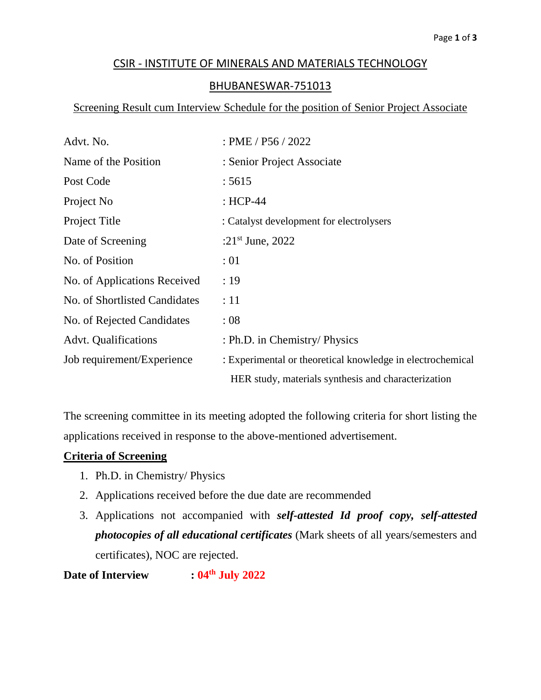## CSIR - INSTITUTE OF MINERALS AND MATERIALS TECHNOLOGY

## BHUBANESWAR-751013

## Screening Result cum Interview Schedule for the position of Senior Project Associate

| Advt. No.                     | : PME / P56 / 2022                                         |
|-------------------------------|------------------------------------------------------------|
| Name of the Position          | : Senior Project Associate                                 |
| Post Code                     | : 5615                                                     |
| Project No                    | : $HCP-44$                                                 |
| Project Title                 | : Catalyst development for electrolysers                   |
| Date of Screening             | : $21^{st}$ June, 2022                                     |
| No. of Position               | :01                                                        |
| No. of Applications Received  | : 19                                                       |
| No. of Shortlisted Candidates | :11                                                        |
| No. of Rejected Candidates    | :08                                                        |
| <b>Advt.</b> Qualifications   | : Ph.D. in Chemistry/ Physics                              |
| Job requirement/Experience    | : Experimental or theoretical knowledge in electrochemical |
|                               | HER study, materials synthesis and characterization        |

The screening committee in its meeting adopted the following criteria for short listing the applications received in response to the above-mentioned advertisement.

## **Criteria of Screening**

- 1. Ph.D. in Chemistry/ Physics
- 2. Applications received before the due date are recommended
- 3. Applications not accompanied with *self-attested Id proof copy, self-attested photocopies of all educational certificates* (Mark sheets of all years/semesters and certificates), NOC are rejected.

**Date of Interview : 04th July 2022**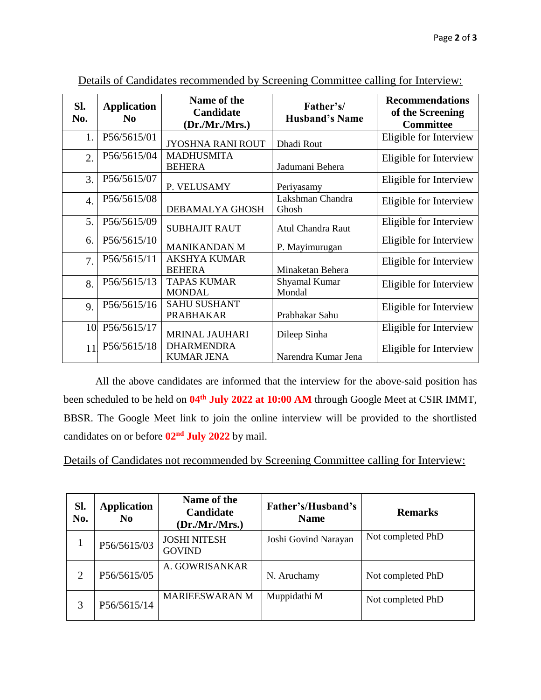| SI.<br>No. | <b>Application</b><br>$\bf No$ | Name of the<br>Candidate<br>(Dr.Mr.Mrs.) | Father's/<br><b>Husband's Name</b> | <b>Recommendations</b><br>of the Screening<br><b>Committee</b> |
|------------|--------------------------------|------------------------------------------|------------------------------------|----------------------------------------------------------------|
| 1.         | P56/5615/01                    | <b>JYOSHNA RANI ROUT</b>                 | Dhadi Rout                         | Eligible for Interview                                         |
| 2.         | P56/5615/04                    | <b>MADHUSMITA</b><br><b>BEHERA</b>       | Jadumani Behera                    | Eligible for Interview                                         |
| 3.         | P56/5615/07                    | P. VELUSAMY                              | Periyasamy                         | Eligible for Interview                                         |
| 4.         | P56/5615/08                    | DEBAMALYA GHOSH                          | Lakshman Chandra<br>Ghosh          | Eligible for Interview                                         |
| 5.         | P56/5615/09                    | <b>SUBHAJIT RAUT</b>                     | <b>Atul Chandra Raut</b>           | Eligible for Interview                                         |
| 6.         | P56/5615/10                    | <b>MANIKANDAN M</b>                      | P. Mayimurugan                     | Eligible for Interview                                         |
| 7.         | P56/5615/11                    | <b>AKSHYA KUMAR</b><br><b>BEHERA</b>     | Minaketan Behera                   | Eligible for Interview                                         |
| 8.         | P56/5615/13                    | <b>TAPAS KUMAR</b><br><b>MONDAL</b>      | Shyamal Kumar<br>Mondal            | Eligible for Interview                                         |
| 9.         | P56/5615/16                    | <b>SAHU SUSHANT</b><br><b>PRABHAKAR</b>  | Prabhakar Sahu                     | Eligible for Interview                                         |
| 10.        | P56/5615/17                    | <b>MRINAL JAUHARI</b>                    | Dileep Sinha                       | Eligible for Interview                                         |
| 11         | P56/5615/18                    | <b>DHARMENDRA</b><br><b>KUMAR JENA</b>   | Narendra Kumar Jena                | Eligible for Interview                                         |

Details of Candidates recommended by Screening Committee calling for Interview:

All the above candidates are informed that the interview for the above-said position has been scheduled to be held on **04th July 2022 at 10:00 AM** through Google Meet at CSIR IMMT, BBSR. The Google Meet link to join the online interview will be provided to the shortlisted candidates on or before **02nd July 2022** by mail.

Details of Candidates not recommended by Screening Committee calling for Interview:

| Sl.<br>No. | <b>Application</b><br>N <sub>0</sub> | Name of the<br>Candidate<br>(Dr./Mr./Mrs.) | Father's/Husband's<br><b>Name</b> | <b>Remarks</b>    |
|------------|--------------------------------------|--------------------------------------------|-----------------------------------|-------------------|
|            | P56/5615/03                          | <b>JOSHI NITESH</b><br><b>GOVIND</b>       | Joshi Govind Narayan              | Not completed PhD |
| 2          | P56/5615/05                          | A. GOWRISANKAR                             | N. Aruchamy                       | Not completed PhD |
| 3          | P56/5615/14                          | <b>MARIEESWARAN M</b>                      | Muppidathi M                      | Not completed PhD |